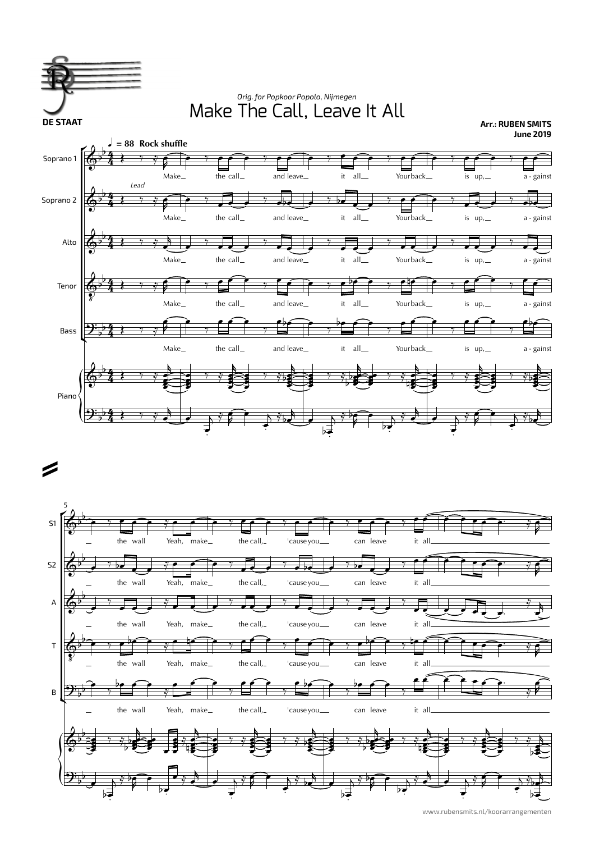



www.rubensmits.nl/koorarrangementen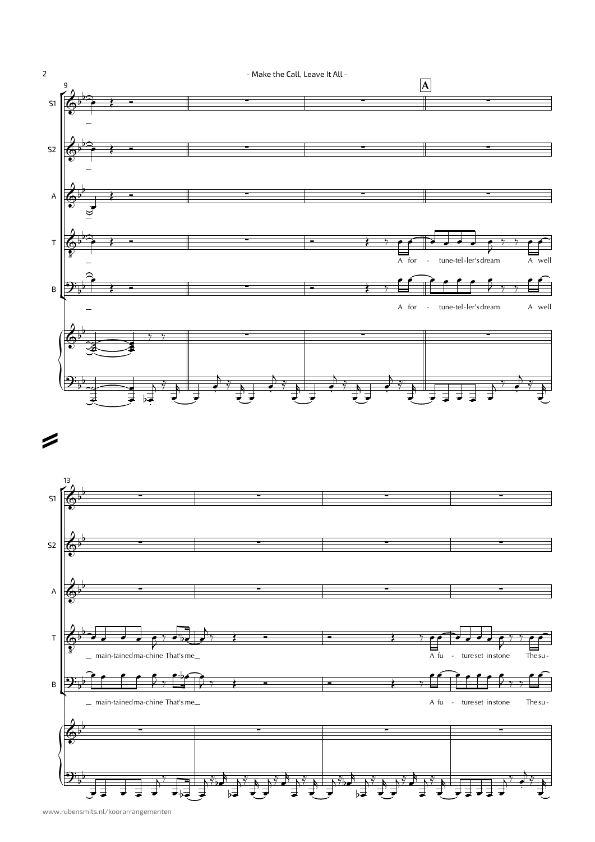



=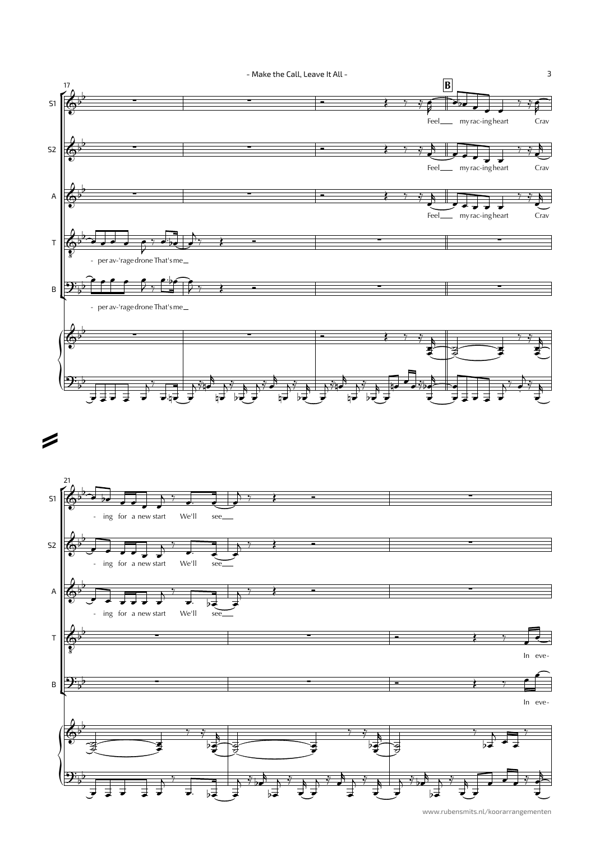

www.rubensmits.nl/koorarrangementen